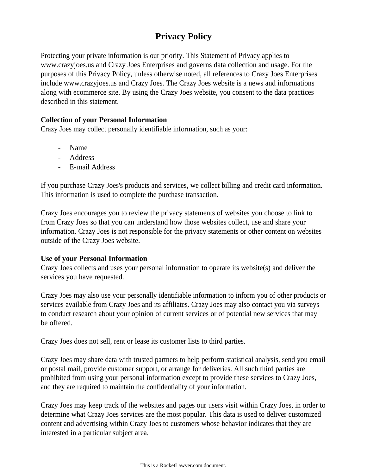# **Privacy Policy**

Protecting your private information is our priority. This Statement of Privacy applies to www.crazyjoes.us and Crazy Joes Enterprises and governs data collection and usage. For the purposes of this Privacy Policy, unless otherwise noted, all references to Crazy Joes Enterprises include www.crazyjoes.us and Crazy Joes. The Crazy Joes website is a news and informations along with ecommerce site. By using the Crazy Joes website, you consent to the data practices described in this statement.

## **Collection of your Personal Information**

Crazy Joes may collect personally identifiable information, such as your:

- Name
- Address
- E-mail Address

If you purchase Crazy Joes's products and services, we collect billing and credit card information. This information is used to complete the purchase transaction.

Crazy Joes encourages you to review the privacy statements of websites you choose to link to from Crazy Joes so that you can understand how those websites collect, use and share your information. Crazy Joes is not responsible for the privacy statements or other content on websites outside of the Crazy Joes website.

## **Use of your Personal Information**

Crazy Joes collects and uses your personal information to operate its website(s) and deliver the services you have requested.

Crazy Joes may also use your personally identifiable information to inform you of other products or services available from Crazy Joes and its affiliates. Crazy Joes may also contact you via surveys to conduct research about your opinion of current services or of potential new services that may be offered.

Crazy Joes does not sell, rent or lease its customer lists to third parties.

Crazy Joes may share data with trusted partners to help perform statistical analysis, send you email or postal mail, provide customer support, or arrange for deliveries. All such third parties are prohibited from using your personal information except to provide these services to Crazy Joes, and they are required to maintain the confidentiality of your information.

Crazy Joes may keep track of the websites and pages our users visit within Crazy Joes, in order to determine what Crazy Joes services are the most popular. This data is used to deliver customized content and advertising within Crazy Joes to customers whose behavior indicates that they are interested in a particular subject area.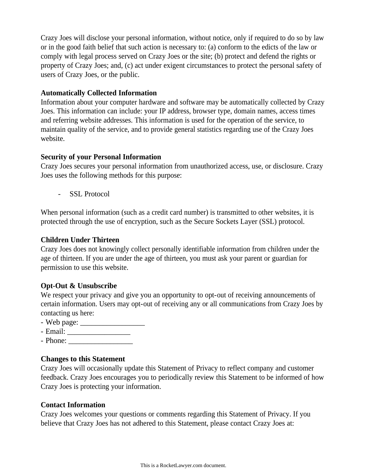Crazy Joes will disclose your personal information, without notice, only if required to do so by law or in the good faith belief that such action is necessary to: (a) conform to the edicts of the law or comply with legal process served on Crazy Joes or the site; (b) protect and defend the rights or property of Crazy Joes; and, (c) act under exigent circumstances to protect the personal safety of users of Crazy Joes, or the public.

#### **Automatically Collected Information**

Information about your computer hardware and software may be automatically collected by Crazy Joes. This information can include: your IP address, browser type, domain names, access times and referring website addresses. This information is used for the operation of the service, to maintain quality of the service, and to provide general statistics regarding use of the Crazy Joes website.

#### **Security of your Personal Information**

Crazy Joes secures your personal information from unauthorized access, use, or disclosure. Crazy Joes uses the following methods for this purpose:

- SSL Protocol

When personal information (such as a credit card number) is transmitted to other websites, it is protected through the use of encryption, such as the Secure Sockets Layer (SSL) protocol.

### **Children Under Thirteen**

Crazy Joes does not knowingly collect personally identifiable information from children under the age of thirteen. If you are under the age of thirteen, you must ask your parent or guardian for permission to use this website.

## **Opt-Out & Unsubscribe**

We respect your privacy and give you an opportunity to opt-out of receiving announcements of certain information. Users may opt-out of receiving any or all communications from Crazy Joes by contacting us here:

- Web page: \_\_\_\_\_\_\_\_\_\_\_\_\_\_\_\_\_
- Email: \_\_\_\_\_\_\_\_\_\_\_\_\_\_\_\_\_
- Phone:

## **Changes to this Statement**

Crazy Joes will occasionally update this Statement of Privacy to reflect company and customer feedback. Crazy Joes encourages you to periodically review this Statement to be informed of how Crazy Joes is protecting your information.

#### **Contact Information**

Crazy Joes welcomes your questions or comments regarding this Statement of Privacy. If you believe that Crazy Joes has not adhered to this Statement, please contact Crazy Joes at: